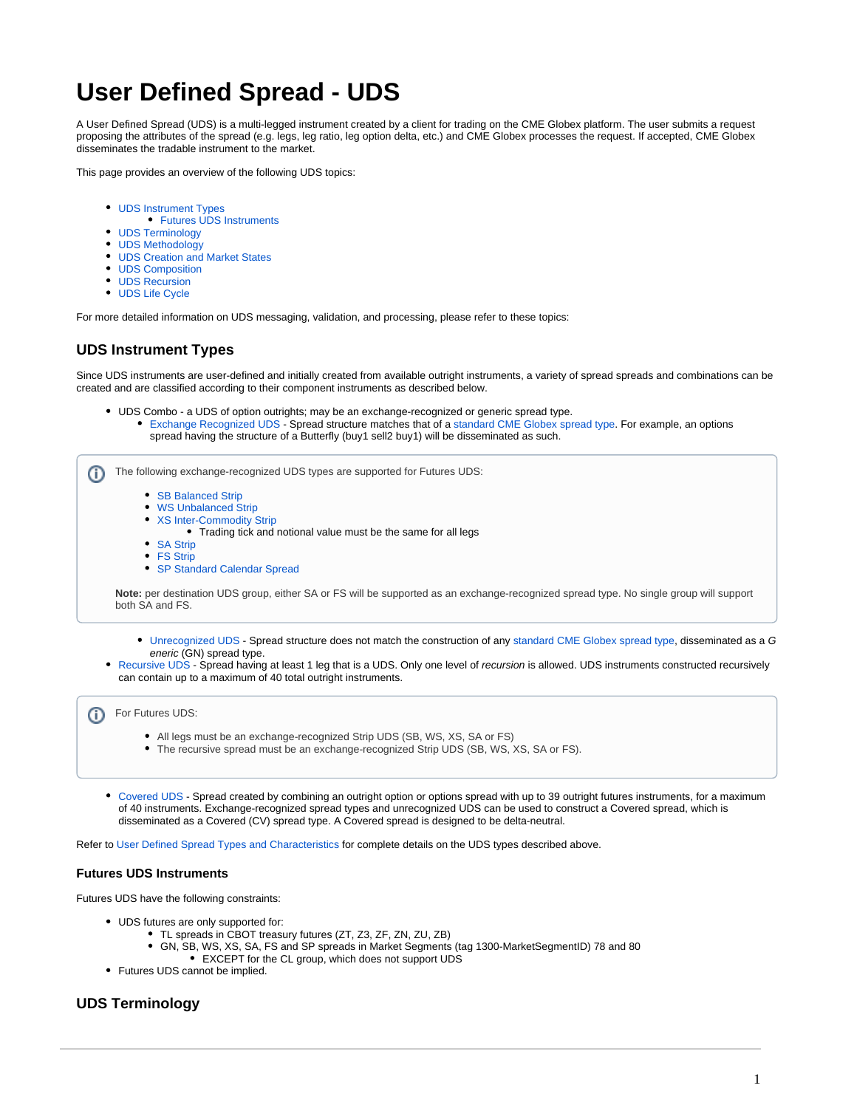# **User Defined Spread - UDS**

A User Defined Spread (UDS) is a multi-legged instrument created by a client for trading on the CME Globex platform. The user submits a request proposing the attributes of the spread (e.g. legs, leg ratio, leg option delta, etc.) and CME Globex processes the request. If accepted, CME Globex disseminates the tradable instrument to the market.

This page provides an overview of the following UDS topics:

- [UDS Instrument Types](#page-0-0)
- **[Futures UDS Instruments](#page-0-1)**
- [UDS Terminology](#page-0-2)
- [UDS Methodology](#page-1-0)
- [UDS Creation and Market States](#page-1-1)
- [UDS Composition](#page-1-2)
- [UDS Recursion](#page-1-3)
- [UDS Life Cycle](#page-2-0)

For more detailed information on UDS messaging, validation, and processing, please refer to these topics:

#### <span id="page-0-0"></span>**UDS Instrument Types**

Since UDS instruments are user-defined and initially created from available outright instruments, a variety of spread spreads and combinations can be created and are classified according to their component instruments as described below.

UDS Combo - a UDS of option outrights; may be an exchange-recognized or generic spread type. [Exchange Recognized UDS](https://www.cmegroup.com/confluence/display/EPICSANDBOX/User+Defined+Spread+Types+and+Characteristics#UserDefinedSpreadTypesandCharacteristics-RecognizedUserDefinedOptionsStrategyType) - Spread structure matches that of a [standard CME Globex spread type.](https://www.cmegroup.com/confluence/display/EPICSANDBOX/Spreads+and+Combinations+Available+on+CME+Globex) For example, an options spread having the structure of a Butterfly (buy1 sell2 buy1) will be disseminated as such.



[Covered UDS](https://www.cmegroup.com/confluence/display/EPICSANDBOX/User+Defined+Spread+Types+and+Characteristics#UserDefinedSpreadTypesandCharacteristics-CoveredUserDefinedOptionsStrategyType) - Spread created by combining an outright option or options spread with up to 39 outright futures instruments, for a maximum of 40 instruments. Exchange-recognized spread types and unrecognized UDS can be used to construct a Covered spread, which is disseminated as a Covered (CV) spread type. A Covered spread is designed to be delta-neutral.

Refer to [User Defined Spread Types and Characteristics](https://www.cmegroup.com/confluence/display/EPICSANDBOX/User+Defined+Spread+Types+and+Characteristics) for complete details on the UDS types described above.

#### <span id="page-0-1"></span>**Futures UDS Instruments**

Futures UDS have the following constraints:

- UDS futures are only supported for:
	- TL spreads in CBOT treasury futures (ZT, Z3, ZF, ZN, ZU, ZB)
	- GN, SB, WS, XS, SA, FS and SP spreads in Market Segments (tag 1300-MarketSegmentID) 78 and 80 EXCEPT for the CL group, which does not support UDS
- Futures UDS cannot be implied.

#### <span id="page-0-2"></span>**UDS Terminology**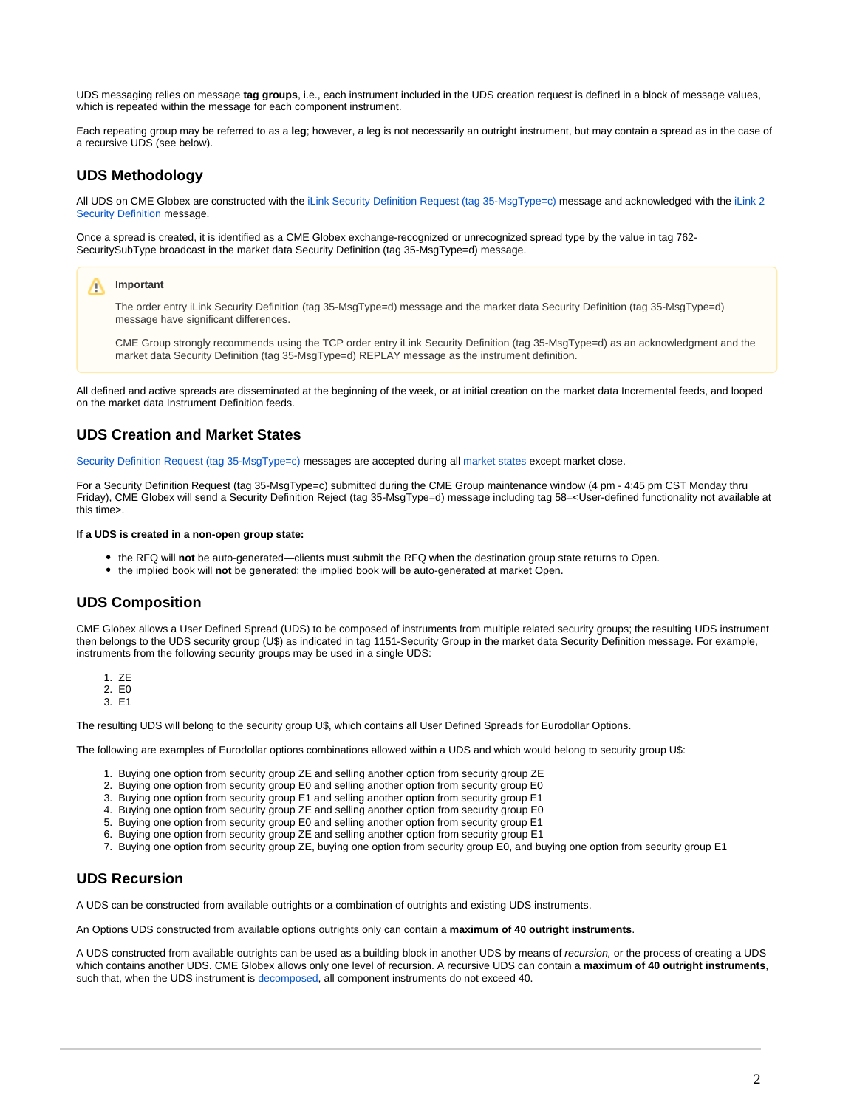UDS messaging relies on message **tag groups**, i.e., each instrument included in the UDS creation request is defined in a block of message values, which is repeated within the message for each component instrument.

Each repeating group may be referred to as a **leg**; however, a leg is not necessarily an outright instrument, but may contain a spread as in the case of a recursive UDS (see below).

#### <span id="page-1-0"></span>**UDS Methodology**

All UDS on CME Globex are constructed with the [iLink Security Definition Request \(tag 35-MsgType=c\)](https://www.cmegroup.com/confluence/display/EPICSANDBOX/iLink+2+Security+Definition+Request) message and acknowledged with the [iLink 2](https://www.cmegroup.com/confluence/display/EPICSANDBOX/iLink+2+Security+Definition)  [Security Definition](https://www.cmegroup.com/confluence/display/EPICSANDBOX/iLink+2+Security+Definition) message.

Once a spread is created, it is identified as a CME Globex exchange-recognized or unrecognized spread type by the value in tag 762- SecuritySubType broadcast in the market data Security Definition (tag 35-MsgType=d) message.

#### **Important** ∧

The order entry iLink Security Definition (tag 35-MsgType=d) message and the market data Security Definition (tag 35-MsgType=d) message have significant differences.

CME Group strongly recommends using the TCP order entry iLink Security Definition (tag 35-MsgType=d) as an acknowledgment and the market data Security Definition (tag 35-MsgType=d) REPLAY message as the instrument definition.

All defined and active spreads are disseminated at the beginning of the week, or at initial creation on the market data Incremental feeds, and looped on the market data Instrument Definition feeds.

### <span id="page-1-1"></span>**UDS Creation and Market States**

[Security Definition Request \(tag 35-MsgType=c\)](https://www.cmegroup.com/confluence/display/EPICSANDBOX/Security+Definition+Request) messages are accepted during all [market states](https://www.cmegroup.com/confluence/display/EPICSANDBOX/Market+and+Instrument+States#MarketandInstrumentStates-MarketStates) except market close.

For a Security Definition Request (tag 35-MsgType=c) submitted during the CME Group maintenance window (4 pm - 4:45 pm CST Monday thru Friday), CME Globex will send a Security Definition Reject (tag 35-MsgType=d) message including tag 58=<User-defined functionality not available at this time>.

#### **If a UDS is created in a non-open group state:**

- the RFQ will **not** be auto-generated—clients must submit the RFQ when the destination group state returns to Open.
- the implied book will **not** be generated; the implied book will be auto-generated at market Open.

### <span id="page-1-2"></span>**UDS Composition**

CME Globex allows a User Defined Spread (UDS) to be composed of instruments from multiple related security groups; the resulting UDS instrument then belongs to the UDS security group (U\$) as indicated in tag 1151-Security Group in the market data Security Definition message. For example, instruments from the following security groups may be used in a single UDS:

- 1. ZE
- 2. E0 3. E1

The resulting UDS will belong to the security group U\$, which contains all User Defined Spreads for Eurodollar Options.

The following are examples of Eurodollar options combinations allowed within a UDS and which would belong to security group U\$:

- 1. Buying one option from security group ZE and selling another option from security group ZE
- 2. Buying one option from security group E0 and selling another option from security group E0
- 3. Buying one option from security group E1 and selling another option from security group E1
- 4. Buying one option from security group ZE and selling another option from security group E0
- 5. Buying one option from security group E0 and selling another option from security group E1
- 6. Buying one option from security group ZE and selling another option from security group E1
- 7. Buying one option from security group ZE, buying one option from security group E0, and buying one option from security group E1

# <span id="page-1-3"></span>**UDS Recursion**

A UDS can be constructed from available outrights or a combination of outrights and existing UDS instruments.

An Options UDS constructed from available options outrights only can contain a **maximum of 40 outright instruments**.

A UDS constructed from available outrights can be used as a building block in another UDS by means of recursion, or the process of creating a UDS which contains another UDS. CME Globex allows only one level of recursion. A recursive UDS can contain a **maximum of 40 outright instruments**, such that, when the UDS instrument is [decomposed](https://www.cmegroup.com/confluence/display/EPICSANDBOX/UDS+-+Instrument+Display#UDSInstrumentDisplay-DecomposeAllSpreadInstrumentstoOutrightInstruments), all component instruments do not exceed 40.